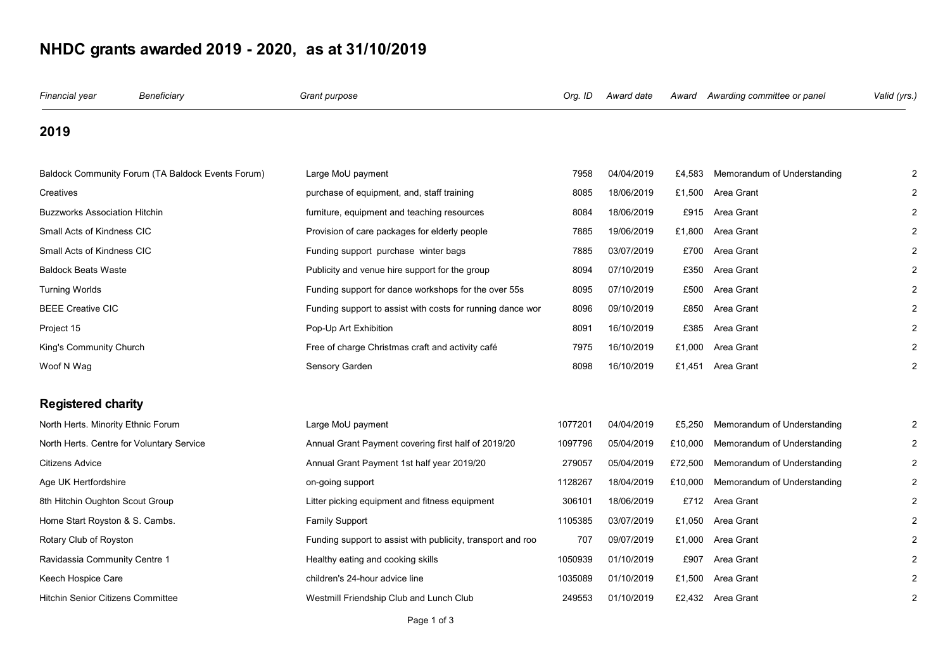## **NHDC grants awarded 2019 - 2020, as at 31/10/2019**

| Financial year                            | Beneficiary                                       | Grant purpose                                               | Org. ID | Award date | Award   | Awarding committee or panel | Valid (yrs.) |
|-------------------------------------------|---------------------------------------------------|-------------------------------------------------------------|---------|------------|---------|-----------------------------|--------------|
| 2019                                      |                                                   |                                                             |         |            |         |                             |              |
|                                           | Baldock Community Forum (TA Baldock Events Forum) | Large MoU payment                                           | 7958    | 04/04/2019 | £4,583  | Memorandum of Understanding | 2            |
| Creatives                                 |                                                   | purchase of equipment, and, staff training                  | 8085    | 18/06/2019 | £1,500  | Area Grant                  |              |
| <b>Buzzworks Association Hitchin</b>      |                                                   | furniture, equipment and teaching resources                 | 8084    | 18/06/2019 | £915    | Area Grant                  |              |
| Small Acts of Kindness CIC                |                                                   | Provision of care packages for elderly people               | 7885    | 19/06/2019 | £1,800  | Area Grant                  |              |
| Small Acts of Kindness CIC                |                                                   | Funding support purchase winter bags                        | 7885    | 03/07/2019 | £700    | Area Grant                  |              |
| <b>Baldock Beats Waste</b>                |                                                   | Publicity and venue hire support for the group              | 8094    | 07/10/2019 | £350    | Area Grant                  |              |
| <b>Turning Worlds</b>                     |                                                   | Funding support for dance workshops for the over 55s        | 8095    | 07/10/2019 | £500    | Area Grant                  |              |
| <b>BEEE Creative CIC</b>                  |                                                   | Funding support to assist with costs for running dance wor  | 8096    | 09/10/2019 | £850    | Area Grant                  |              |
| Project 15                                |                                                   | Pop-Up Art Exhibition                                       | 8091    | 16/10/2019 | £385    | Area Grant                  |              |
| King's Community Church                   |                                                   | Free of charge Christmas craft and activity café            | 7975    | 16/10/2019 | £1,000  | Area Grant                  |              |
| Woof N Wag                                |                                                   | Sensory Garden                                              | 8098    | 16/10/2019 | £1,451  | Area Grant                  |              |
| <b>Registered charity</b>                 |                                                   |                                                             |         |            |         |                             |              |
| North Herts. Minority Ethnic Forum        |                                                   | Large MoU payment                                           | 1077201 | 04/04/2019 | £5,250  | Memorandum of Understanding |              |
| North Herts. Centre for Voluntary Service |                                                   | Annual Grant Payment covering first half of 2019/20         | 1097796 | 05/04/2019 | £10,000 | Memorandum of Understanding | 2            |
| <b>Citizens Advice</b>                    |                                                   | Annual Grant Payment 1st half year 2019/20                  | 279057  | 05/04/2019 | £72,500 | Memorandum of Understanding | 2            |
| Age UK Hertfordshire                      |                                                   | on-going support                                            | 1128267 | 18/04/2019 | £10,000 | Memorandum of Understanding | 2            |
| 8th Hitchin Oughton Scout Group           |                                                   | Litter picking equipment and fitness equipment              | 306101  | 18/06/2019 |         | £712 Area Grant             |              |
| Home Start Royston & S. Cambs.            |                                                   | <b>Family Support</b>                                       | 1105385 | 03/07/2019 | £1,050  | Area Grant                  |              |
| Rotary Club of Royston                    |                                                   | Funding support to assist with publicity, transport and roo | 707     | 09/07/2019 | £1,000  | Area Grant                  |              |
| Ravidassia Community Centre 1             |                                                   | Healthy eating and cooking skills                           | 1050939 | 01/10/2019 | £907    | Area Grant                  |              |
| Keech Hospice Care                        |                                                   | children's 24-hour advice line                              | 1035089 | 01/10/2019 | £1,500  | Area Grant                  |              |
| <b>Hitchin Senior Citizens Committee</b>  |                                                   | Westmill Friendship Club and Lunch Club                     | 249553  | 01/10/2019 |         | £2,432 Area Grant           | 2            |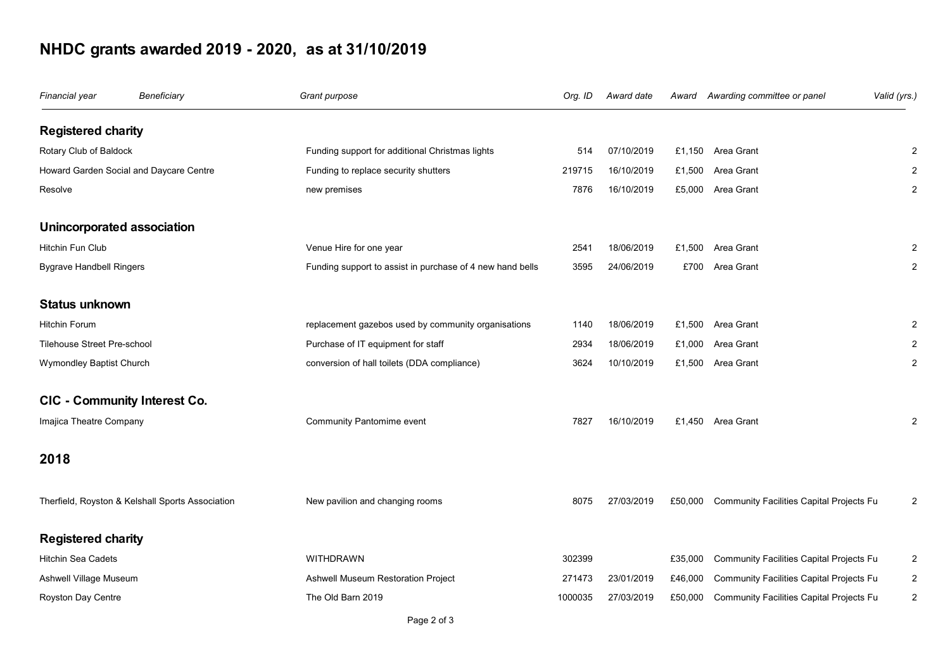## **NHDC grants awarded 2019 - 2020, as at 31/10/2019**

| Financial year                          | Beneficiary                                      | Grant purpose                                             | Org. ID | Award date |         | Award Awarding committee or panel        | Valid (yrs.)   |
|-----------------------------------------|--------------------------------------------------|-----------------------------------------------------------|---------|------------|---------|------------------------------------------|----------------|
| <b>Registered charity</b>               |                                                  |                                                           |         |            |         |                                          |                |
| Rotary Club of Baldock                  |                                                  | Funding support for additional Christmas lights           | 514     | 07/10/2019 |         | £1,150 Area Grant                        | $\overline{2}$ |
| Howard Garden Social and Daycare Centre |                                                  | Funding to replace security shutters                      | 219715  | 16/10/2019 |         | £1,500 Area Grant                        | $\overline{2}$ |
| Resolve                                 |                                                  | new premises                                              | 7876    | 16/10/2019 |         | £5,000 Area Grant                        | $\overline{2}$ |
| Unincorporated association              |                                                  |                                                           |         |            |         |                                          |                |
| Hitchin Fun Club                        |                                                  | Venue Hire for one year                                   | 2541    | 18/06/2019 | £1,500  | Area Grant                               | 2              |
| <b>Bygrave Handbell Ringers</b>         |                                                  | Funding support to assist in purchase of 4 new hand bells | 3595    | 24/06/2019 | £700    | Area Grant                               | $\overline{c}$ |
| <b>Status unknown</b>                   |                                                  |                                                           |         |            |         |                                          |                |
| Hitchin Forum                           |                                                  | replacement gazebos used by community organisations       | 1140    | 18/06/2019 |         | £1,500 Area Grant                        | $\overline{2}$ |
| <b>Tilehouse Street Pre-school</b>      |                                                  | Purchase of IT equipment for staff                        | 2934    | 18/06/2019 | £1,000  | Area Grant                               | $\overline{2}$ |
| Wymondley Baptist Church                |                                                  | conversion of hall toilets (DDA compliance)               | 3624    | 10/10/2019 |         | £1,500 Area Grant                        | $\overline{2}$ |
| CIC - Community Interest Co.            |                                                  |                                                           |         |            |         |                                          |                |
| Imajica Theatre Company                 |                                                  | Community Pantomime event                                 | 7827    | 16/10/2019 |         | £1,450 Area Grant                        | $\overline{2}$ |
| 2018                                    |                                                  |                                                           |         |            |         |                                          |                |
|                                         | Therfield, Royston & Kelshall Sports Association | New pavilion and changing rooms                           | 8075    | 27/03/2019 | £50,000 | Community Facilities Capital Projects Fu | $\overline{2}$ |
| <b>Registered charity</b>               |                                                  |                                                           |         |            |         |                                          |                |
| <b>Hitchin Sea Cadets</b>               |                                                  | <b>WITHDRAWN</b>                                          | 302399  |            | £35,000 | Community Facilities Capital Projects Fu | 2              |
| Ashwell Village Museum                  |                                                  | Ashwell Museum Restoration Project                        | 271473  | 23/01/2019 | £46,000 | Community Facilities Capital Projects Fu | 2              |
| Royston Day Centre                      |                                                  | The Old Barn 2019                                         | 1000035 | 27/03/2019 | £50,000 | Community Facilities Capital Projects Fu | $\overline{2}$ |
|                                         |                                                  |                                                           |         |            |         |                                          |                |